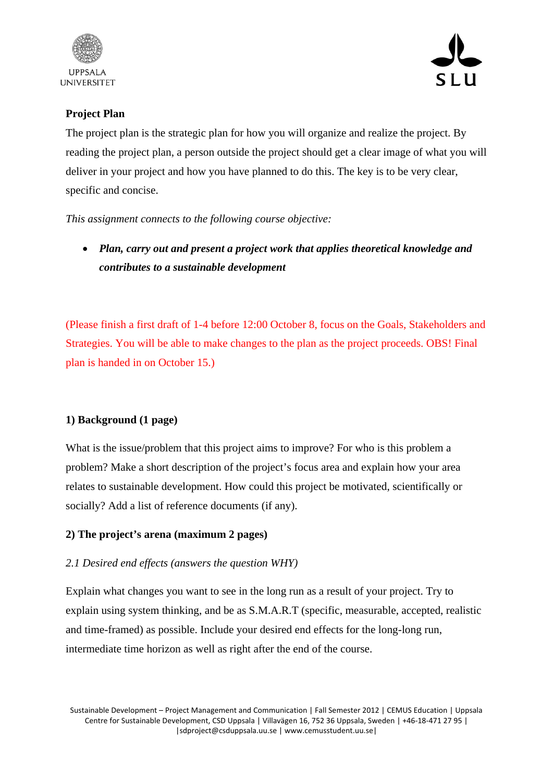



## **Project Plan**

The project plan is the strategic plan for how you will organize and realize the project. By reading the project plan, a person outside the project should get a clear image of what you will deliver in your project and how you have planned to do this. The key is to be very clear, specific and concise.

*This assignment connects to the following course objective:* 

• *Plan, carry out and present a project work that applies theoretical knowledge and contributes to a sustainable development*

(Please finish a first draft of 1-4 before 12:00 October 8, focus on the Goals, Stakeholders and Strategies. You will be able to make changes to the plan as the project proceeds. OBS! Final plan is handed in on October 15.)

## **1) Background (1 page)**

What is the issue/problem that this project aims to improve? For who is this problem a problem? Make a short description of the project's focus area and explain how your area relates to sustainable development. How could this project be motivated, scientifically or socially? Add a list of reference documents (if any).

## **2) The project's arena (maximum 2 pages)**

## *2.1 Desired end effects (answers the question WHY)*

Explain what changes you want to see in the long run as a result of your project. Try to explain using system thinking, and be as S.M.A.R.T (specific, measurable, accepted, realistic and time-framed) as possible. Include your desired end effects for the long-long run, intermediate time horizon as well as right after the end of the course.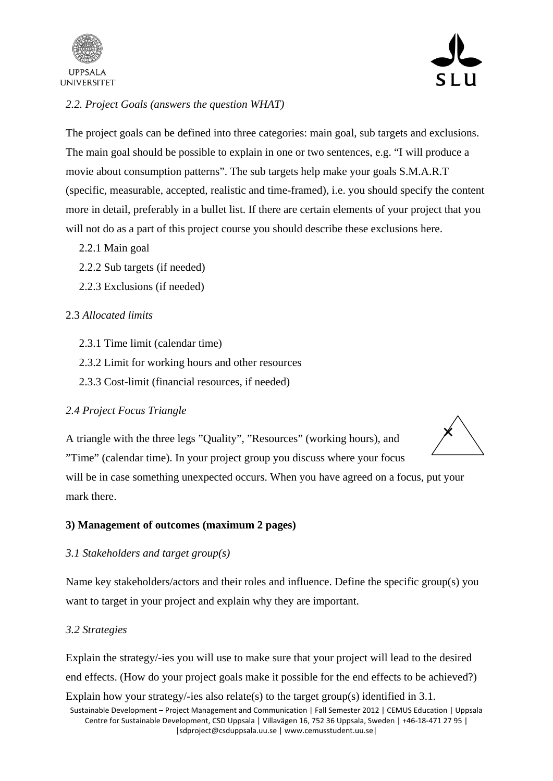



## *2.2. Project Goals (answers the question WHAT)*

The project goals can be defined into three categories: main goal, sub targets and exclusions. The main goal should be possible to explain in one or two sentences, e.g. "I will produce a movie about consumption patterns". The sub targets help make your goals S.M.A.R.T (specific, measurable, accepted, realistic and time-framed), i.e. you should specify the content more in detail, preferably in a bullet list. If there are certain elements of your project that you will not do as a part of this project course you should describe these exclusions here.

- 2.2.1 Main goal
- 2.2.2 Sub targets (if needed)
- 2.2.3 Exclusions (if needed)

### 2.3 *Allocated limits*

- 2.3.1 Time limit (calendar time)
- 2.3.2 Limit for working hours and other resources
- 2.3.3 Cost-limit (financial resources, if needed)

### *2.4 Project Focus Triangle*

A triangle with the three legs "Quality", "Resources" (working hours), and "Time" (calendar time). In your project group you discuss where your focus



will be in case something unexpected occurs. When you have agreed on a focus, put your mark there.

#### **3) Management of outcomes (maximum 2 pages)**

#### *3.1 Stakeholders and target group(s)*

Name key stakeholders/actors and their roles and influence. Define the specific group(s) you want to target in your project and explain why they are important.

#### *3.2 Strategies*

Explain the strategy/-ies you will use to make sure that your project will lead to the desired end effects. (How do your project goals make it possible for the end effects to be achieved?)

Sustainable Development – Project Management and Communication | Fall Semester 2012 | CEMUS Education | Uppsala Centre for Sustainable Development, CSD Uppsala | Villavägen 16, 752 36 Uppsala, Sweden | +46‐18‐471 27 95 | |sdproject@csduppsala.uu.se | www.cemusstudent.uu.se| Explain how your strategy/-ies also relate(s) to the target group(s) identified in 3.1.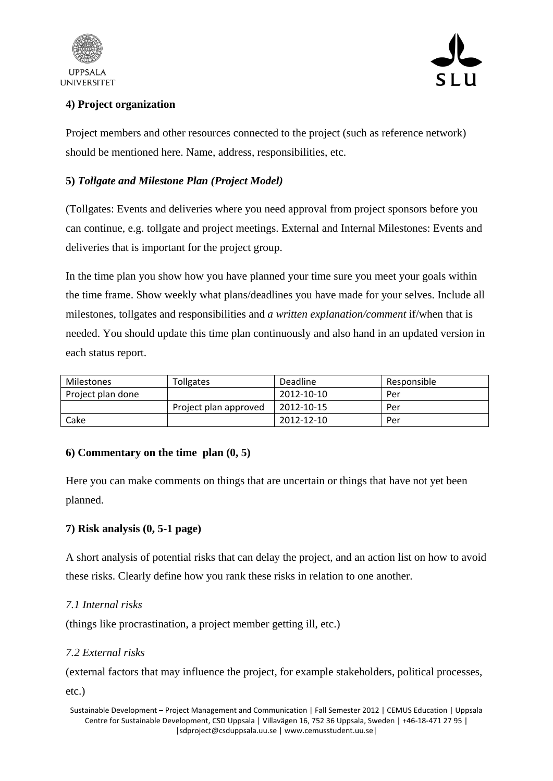



# **4) Project organization**

Project members and other resources connected to the project (such as reference network) should be mentioned here. Name, address, responsibilities, etc.

## **5)** *Tollgate and Milestone Plan (Project Model)*

(Tollgates: Events and deliveries where you need approval from project sponsors before you can continue, e.g. tollgate and project meetings. External and Internal Milestones: Events and deliveries that is important for the project group.

In the time plan you show how you have planned your time sure you meet your goals within the time frame. Show weekly what plans/deadlines you have made for your selves. Include all milestones, tollgates and responsibilities and *a written explanation/comment* if/when that is needed. You should update this time plan continuously and also hand in an updated version in each status report.

| Milestones        | Tollgates             | Deadline   | Responsible |
|-------------------|-----------------------|------------|-------------|
| Project plan done |                       | 2012-10-10 | Per         |
|                   | Project plan approved | 2012-10-15 | Per         |
| Cake              |                       | 2012-12-10 | Per         |

### **6) Commentary on the time plan (0, 5)**

Here you can make comments on things that are uncertain or things that have not yet been planned.

## **7) Risk analysis (0, 5-1 page)**

A short analysis of potential risks that can delay the project, and an action list on how to avoid these risks. Clearly define how you rank these risks in relation to one another.

### *7.1 Internal risks*

(things like procrastination, a project member getting ill, etc.)

### *7.2 External risks*

(external factors that may influence the project, for example stakeholders, political processes,

etc.)

Sustainable Development – Project Management and Communication | Fall Semester 2012 | CEMUS Education | Uppsala Centre for Sustainable Development, CSD Uppsala | Villavägen 16, 752 36 Uppsala, Sweden | +46‐18‐471 27 95 | |sdproject@csduppsala.uu.se | www.cemusstudent.uu.se|